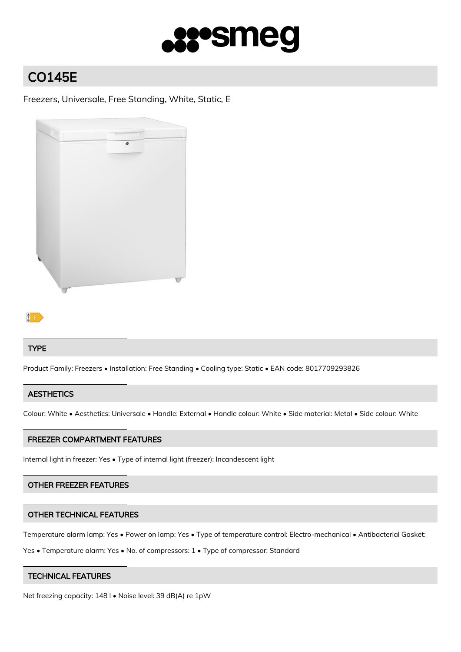

# CO145E

Freezers, Universale, Free Standing, White, Static, E



# $\mathbb{B}$

#### TYPE

Product Family: Freezers • Installation: Free Standing • Cooling type: Static • EAN code: 8017709293826

### **AESTHETICS**

Colour: White • Aesthetics: Universale • Handle: External • Handle colour: White • Side material: Metal • Side colour: White

#### FREEZER COMPARTMENT FEATURES

Internal light in freezer: Yes • Type of internal light (freezer): Incandescent light

#### OTHER FREEZER FEATURES

#### OTHER TECHNICAL FEATURES

Temperature alarm lamp: Yes • Power on lamp: Yes • Type of temperature control: Electro-mechanical • Antibacterial Gasket:

Yes • Temperature alarm: Yes • No. of compressors: 1 • Type of compressor: Standard

#### TECHNICAL FEATURES

Net freezing capacity: 148 l • Noise level: 39 dB(A) re 1pW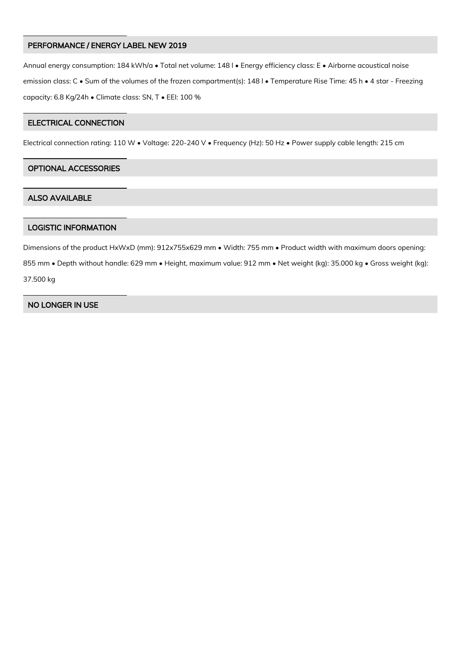#### PERFORMANCE / ENERGY LABEL NEW 2019

Annual energy consumption: 184 kWh/a • Total net volume: 148 l • Energy efficiency class: E • Airborne acoustical noise emission class: C • Sum of the volumes of the frozen compartment(s): 148 l • Temperature Rise Time: 45 h • 4 star - Freezing capacity: 6.8 Kg/24h • Climate class: SN, T • EEI: 100 %

## ELECTRICAL CONNECTION

Electrical connection rating: 110 W • Voltage: 220-240 V • Frequency (Hz): 50 Hz • Power supply cable length: 215 cm

## OPTIONAL ACCESSORIES

#### ALSO AVAILABLE

#### LOGISTIC INFORMATION

Dimensions of the product HxWxD (mm): 912x755x629 mm • Width: 755 mm • Product width with maximum doors opening: 855 mm • Depth without handle: 629 mm • Height, maximum value: 912 mm • Net weight (kg): 35.000 kg • Gross weight (kg): 37.500 kg

# NO LONGER IN USE